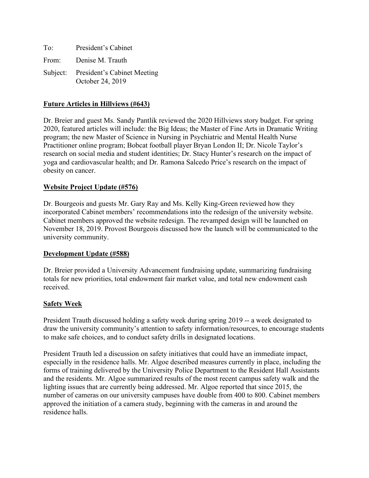| To: | President's Cabinet                                      |
|-----|----------------------------------------------------------|
|     | From: Denise M. Trauth                                   |
|     | Subject: President's Cabinet Meeting<br>October 24, 2019 |

## **Future Articles in Hillviews (#643)**

Dr. Breier and guest Ms. Sandy Pantlik reviewed the 2020 Hillviews story budget. For spring 2020, featured articles will include: the Big Ideas; the Master of Fine Arts in Dramatic Writing program; the new Master of Science in Nursing in Psychiatric and Mental Health Nurse Practitioner online program; Bobcat football player Bryan London II; Dr. Nicole Taylor's research on social media and student identities; Dr. Stacy Hunter's research on the impact of yoga and cardiovascular health; and Dr. Ramona Salcedo Price's research on the impact of obesity on cancer.

### **Website Project Update (#576)**

Dr. Bourgeois and guests Mr. Gary Ray and Ms. Kelly King-Green reviewed how they incorporated Cabinet members' recommendations into the redesign of the university website. Cabinet members approved the website redesign. The revamped design will be launched on November 18, 2019. Provost Bourgeois discussed how the launch will be communicated to the university community.

#### **Development Update (#588)**

Dr. Breier provided a University Advancement fundraising update, summarizing fundraising totals for new priorities, total endowment fair market value, and total new endowment cash received.

#### **Safety Week**

President Trauth discussed holding a safety week during spring 2019 -- a week designated to draw the university community's attention to safety information/resources, to encourage students to make safe choices, and to conduct safety drills in designated locations.

President Trauth led a discussion on safety initiatives that could have an immediate impact, especially in the residence halls. Mr. Algoe described measures currently in place, including the forms of training delivered by the University Police Department to the Resident Hall Assistants and the residents. Mr. Algoe summarized results of the most recent campus safety walk and the lighting issues that are currently being addressed. Mr. Algoe reported that since 2015, the number of cameras on our university campuses have double from 400 to 800. Cabinet members approved the initiation of a camera study, beginning with the cameras in and around the residence halls.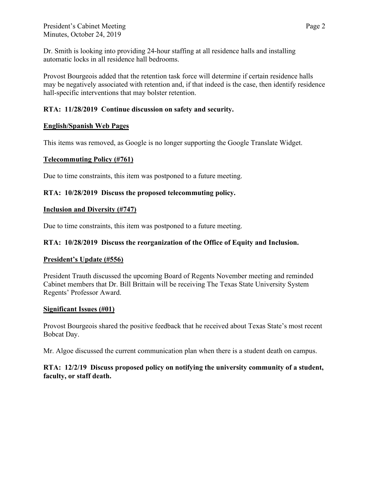Dr. Smith is looking into providing 24-hour staffing at all residence halls and installing automatic locks in all residence hall bedrooms.

Provost Bourgeois added that the retention task force will determine if certain residence halls may be negatively associated with retention and, if that indeed is the case, then identify residence hall-specific interventions that may bolster retention.

# **RTA: 11/28/2019 Continue discussion on safety and security.**

## **English/Spanish Web Pages**

This items was removed, as Google is no longer supporting the Google Translate Widget.

### **Telecommuting Policy (#761)**

Due to time constraints, this item was postponed to a future meeting.

## **RTA: 10/28/2019 Discuss the proposed telecommuting policy.**

### **Inclusion and Diversity (#747)**

Due to time constraints, this item was postponed to a future meeting.

## **RTA: 10/28/2019 Discuss the reorganization of the Office of Equity and Inclusion.**

#### **President's Update (#556)**

President Trauth discussed the upcoming Board of Regents November meeting and reminded Cabinet members that Dr. Bill Brittain will be receiving The Texas State University System Regents' Professor Award.

#### **Significant Issues (#01)**

Provost Bourgeois shared the positive feedback that he received about Texas State's most recent Bobcat Day.

Mr. Algoe discussed the current communication plan when there is a student death on campus.

## **RTA: 12/2/19 Discuss proposed policy on notifying the university community of a student, faculty, or staff death.**